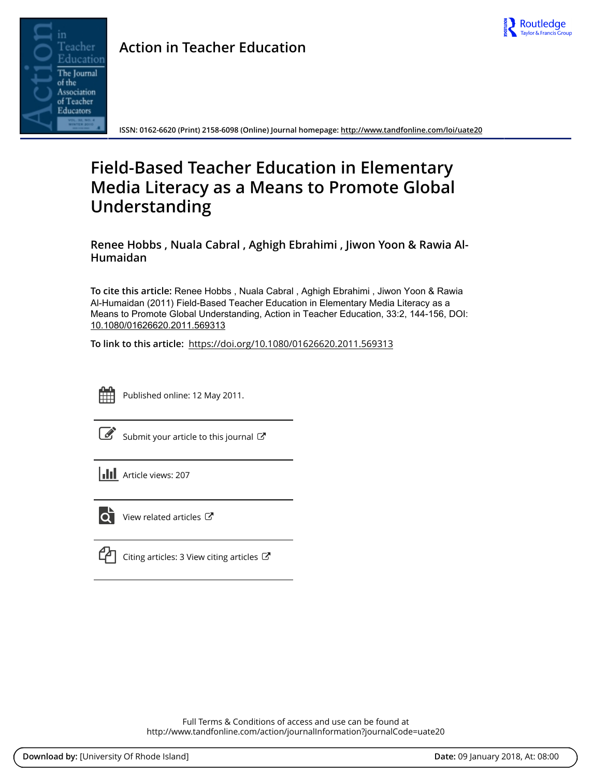



**ISSN: 0162-6620 (Print) 2158-6098 (Online) Journal homepage:<http://www.tandfonline.com/loi/uate20>**

# **Field-Based Teacher Education in Elementary Media Literacy as a Means to Promote Global Understanding**

**Renee Hobbs , Nuala Cabral , Aghigh Ebrahimi , Jiwon Yoon & Rawia Al-Humaidan**

**To cite this article:** Renee Hobbs , Nuala Cabral , Aghigh Ebrahimi , Jiwon Yoon & Rawia Al-Humaidan (2011) Field-Based Teacher Education in Elementary Media Literacy as a Means to Promote Global Understanding, Action in Teacher Education, 33:2, 144-156, DOI: [10.1080/01626620.2011.569313](http://www.tandfonline.com/action/showCitFormats?doi=10.1080/01626620.2011.569313)

**To link to this article:** <https://doi.org/10.1080/01626620.2011.569313>



Published online: 12 May 2011.

[Submit your article to this journal](http://www.tandfonline.com/action/authorSubmission?journalCode=uate20&show=instructions)  $\mathbb{Z}$ 

**III** Article views: 207



 $\overline{Q}$  [View related articles](http://www.tandfonline.com/doi/mlt/10.1080/01626620.2011.569313)  $\mathbb{Z}$ 

 $\Box$  [Citing articles: 3 View citing articles](http://www.tandfonline.com/doi/citedby/10.1080/01626620.2011.569313#tabModule)  $\Box$ 

Full Terms & Conditions of access and use can be found at <http://www.tandfonline.com/action/journalInformation?journalCode=uate20>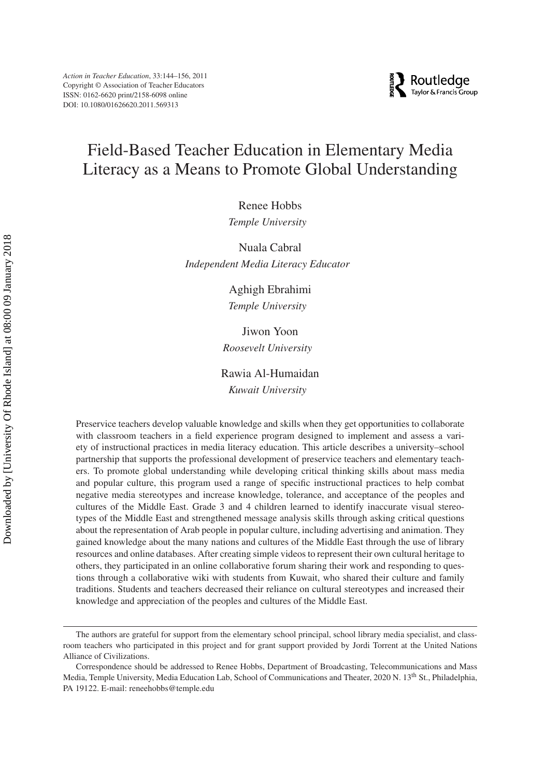

# Field-Based Teacher Education in Elementary Media Literacy as a Means to Promote Global Understanding

Renee Hobbs

*Temple University*

Nuala Cabral *Independent Media Literacy Educator*

> Aghigh Ebrahimi *Temple University*

> > Jiwon Yoon

*Roosevelt University*

#### Rawia Al-Humaidan

*Kuwait University*

Preservice teachers develop valuable knowledge and skills when they get opportunities to collaborate with classroom teachers in a field experience program designed to implement and assess a variety of instructional practices in media literacy education. This article describes a university–school partnership that supports the professional development of preservice teachers and elementary teachers. To promote global understanding while developing critical thinking skills about mass media and popular culture, this program used a range of specific instructional practices to help combat negative media stereotypes and increase knowledge, tolerance, and acceptance of the peoples and cultures of the Middle East. Grade 3 and 4 children learned to identify inaccurate visual stereotypes of the Middle East and strengthened message analysis skills through asking critical questions about the representation of Arab people in popular culture, including advertising and animation. They gained knowledge about the many nations and cultures of the Middle East through the use of library resources and online databases. After creating simple videos to represent their own cultural heritage to others, they participated in an online collaborative forum sharing their work and responding to questions through a collaborative wiki with students from Kuwait, who shared their culture and family traditions. Students and teachers decreased their reliance on cultural stereotypes and increased their knowledge and appreciation of the peoples and cultures of the Middle East.

The authors are grateful for support from the elementary school principal, school library media specialist, and classroom teachers who participated in this project and for grant support provided by Jordi Torrent at the United Nations Alliance of Civilizations.

Correspondence should be addressed to Renee Hobbs, Department of Broadcasting, Telecommunications and Mass Media, Temple University, Media Education Lab, School of Communications and Theater, 2020 N. 13<sup>th</sup> St., Philadelphia, PA 19122. E-mail: reneehobbs@temple.edu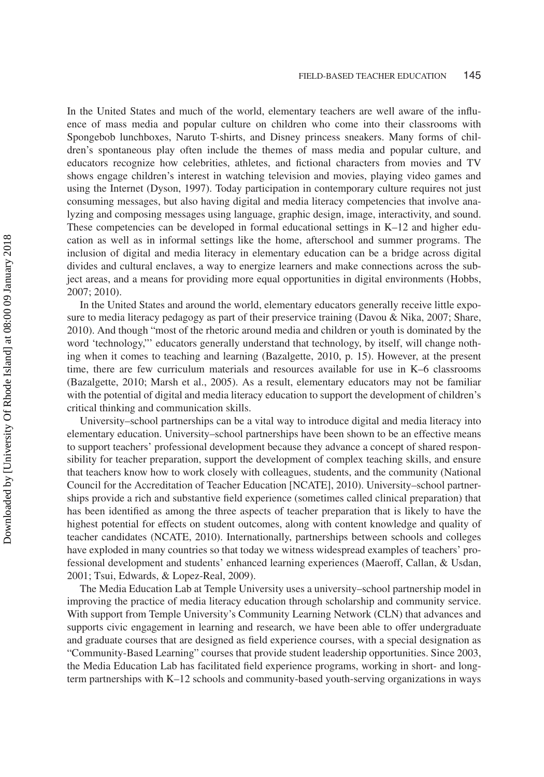In the United States and much of the world, elementary teachers are well aware of the influence of mass media and popular culture on children who come into their classrooms with Spongebob lunchboxes, Naruto T-shirts, and Disney princess sneakers. Many forms of children's spontaneous play often include the themes of mass media and popular culture, and educators recognize how celebrities, athletes, and fictional characters from movies and TV shows engage children's interest in watching television and movies, playing video games and using the Internet (Dyson, 1997). Today participation in contemporary culture requires not just consuming messages, but also having digital and media literacy competencies that involve analyzing and composing messages using language, graphic design, image, interactivity, and sound. These competencies can be developed in formal educational settings in K–12 and higher education as well as in informal settings like the home, afterschool and summer programs. The inclusion of digital and media literacy in elementary education can be a bridge across digital divides and cultural enclaves, a way to energize learners and make connections across the subject areas, and a means for providing more equal opportunities in digital environments (Hobbs, 2007; 2010).

In the United States and around the world, elementary educators generally receive little exposure to media literacy pedagogy as part of their preservice training (Davou & Nika, 2007; Share, 2010). And though "most of the rhetoric around media and children or youth is dominated by the word 'technology,"' educators generally understand that technology, by itself, will change nothing when it comes to teaching and learning (Bazalgette, 2010, p. 15). However, at the present time, there are few curriculum materials and resources available for use in K–6 classrooms (Bazalgette, 2010; Marsh et al., 2005). As a result, elementary educators may not be familiar with the potential of digital and media literacy education to support the development of children's critical thinking and communication skills.

University–school partnerships can be a vital way to introduce digital and media literacy into elementary education. University–school partnerships have been shown to be an effective means to support teachers' professional development because they advance a concept of shared responsibility for teacher preparation, support the development of complex teaching skills, and ensure that teachers know how to work closely with colleagues, students, and the community (National Council for the Accreditation of Teacher Education [NCATE], 2010). University–school partnerships provide a rich and substantive field experience (sometimes called clinical preparation) that has been identified as among the three aspects of teacher preparation that is likely to have the highest potential for effects on student outcomes, along with content knowledge and quality of teacher candidates (NCATE, 2010). Internationally, partnerships between schools and colleges have exploded in many countries so that today we witness widespread examples of teachers' professional development and students' enhanced learning experiences (Maeroff, Callan, & Usdan, 2001; Tsui, Edwards, & Lopez-Real, 2009).

The Media Education Lab at Temple University uses a university–school partnership model in improving the practice of media literacy education through scholarship and community service. With support from Temple University's Community Learning Network (CLN) that advances and supports civic engagement in learning and research, we have been able to offer undergraduate and graduate courses that are designed as field experience courses, with a special designation as "Community-Based Learning" courses that provide student leadership opportunities. Since 2003, the Media Education Lab has facilitated field experience programs, working in short- and longterm partnerships with K–12 schools and community-based youth-serving organizations in ways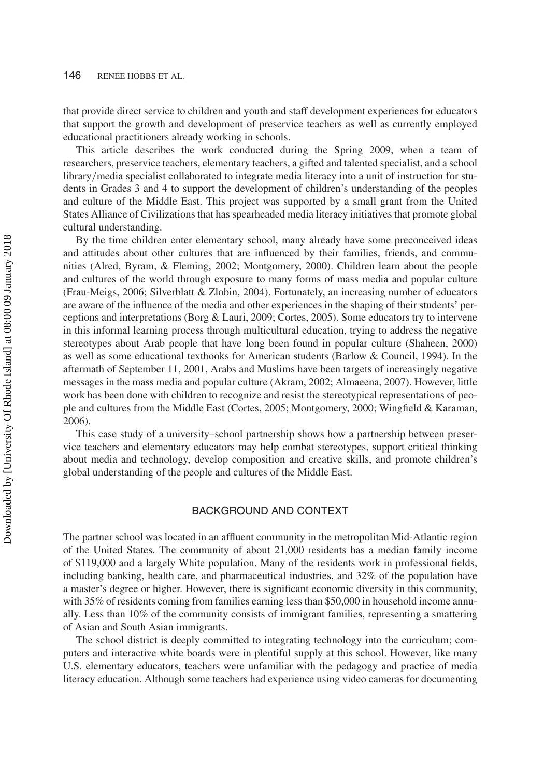that provide direct service to children and youth and staff development experiences for educators that support the growth and development of preservice teachers as well as currently employed educational practitioners already working in schools.

This article describes the work conducted during the Spring 2009, when a team of researchers, preservice teachers, elementary teachers, a gifted and talented specialist, and a school library*/*media specialist collaborated to integrate media literacy into a unit of instruction for students in Grades 3 and 4 to support the development of children's understanding of the peoples and culture of the Middle East. This project was supported by a small grant from the United States Alliance of Civilizations that has spearheaded media literacy initiatives that promote global cultural understanding.

By the time children enter elementary school, many already have some preconceived ideas and attitudes about other cultures that are influenced by their families, friends, and communities (Alred, Byram, & Fleming, 2002; Montgomery, 2000). Children learn about the people and cultures of the world through exposure to many forms of mass media and popular culture (Frau-Meigs, 2006; Silverblatt & Zlobin, 2004). Fortunately, an increasing number of educators are aware of the influence of the media and other experiences in the shaping of their students' perceptions and interpretations (Borg & Lauri, 2009; Cortes, 2005). Some educators try to intervene in this informal learning process through multicultural education, trying to address the negative stereotypes about Arab people that have long been found in popular culture (Shaheen, 2000) as well as some educational textbooks for American students (Barlow & Council, 1994). In the aftermath of September 11, 2001, Arabs and Muslims have been targets of increasingly negative messages in the mass media and popular culture (Akram, 2002; Almaeena, 2007). However, little work has been done with children to recognize and resist the stereotypical representations of people and cultures from the Middle East (Cortes, 2005; Montgomery, 2000; Wingfield & Karaman, 2006).

This case study of a university–school partnership shows how a partnership between preservice teachers and elementary educators may help combat stereotypes, support critical thinking about media and technology, develop composition and creative skills, and promote children's global understanding of the people and cultures of the Middle East.

# BACKGROUND AND CONTEXT

The partner school was located in an affluent community in the metropolitan Mid-Atlantic region of the United States. The community of about 21,000 residents has a median family income of \$119,000 and a largely White population. Many of the residents work in professional fields, including banking, health care, and pharmaceutical industries, and 32% of the population have a master's degree or higher. However, there is significant economic diversity in this community, with 35% of residents coming from families earning less than \$50,000 in household income annually. Less than 10% of the community consists of immigrant families, representing a smattering of Asian and South Asian immigrants.

The school district is deeply committed to integrating technology into the curriculum; computers and interactive white boards were in plentiful supply at this school. However, like many U.S. elementary educators, teachers were unfamiliar with the pedagogy and practice of media literacy education. Although some teachers had experience using video cameras for documenting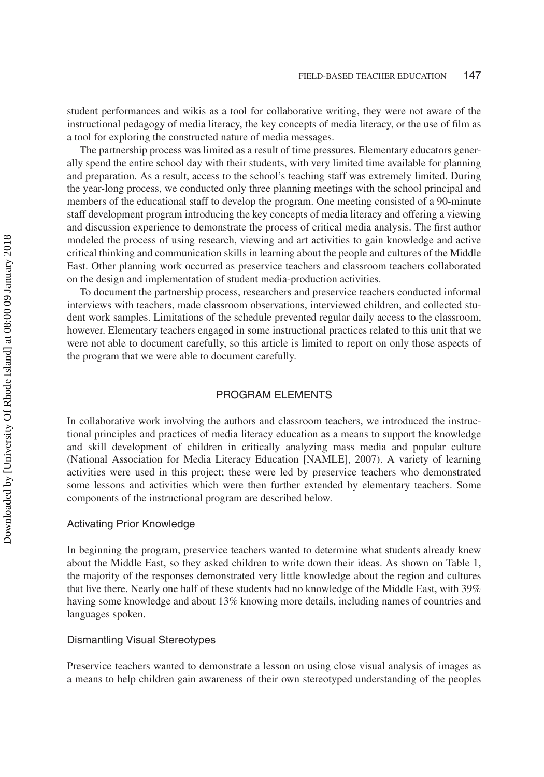student performances and wikis as a tool for collaborative writing, they were not aware of the instructional pedagogy of media literacy, the key concepts of media literacy, or the use of film as a tool for exploring the constructed nature of media messages.

The partnership process was limited as a result of time pressures. Elementary educators generally spend the entire school day with their students, with very limited time available for planning and preparation. As a result, access to the school's teaching staff was extremely limited. During the year-long process, we conducted only three planning meetings with the school principal and members of the educational staff to develop the program. One meeting consisted of a 90-minute staff development program introducing the key concepts of media literacy and offering a viewing and discussion experience to demonstrate the process of critical media analysis. The first author modeled the process of using research, viewing and art activities to gain knowledge and active critical thinking and communication skills in learning about the people and cultures of the Middle East. Other planning work occurred as preservice teachers and classroom teachers collaborated on the design and implementation of student media-production activities.

To document the partnership process, researchers and preservice teachers conducted informal interviews with teachers, made classroom observations, interviewed children, and collected student work samples. Limitations of the schedule prevented regular daily access to the classroom, however. Elementary teachers engaged in some instructional practices related to this unit that we were not able to document carefully, so this article is limited to report on only those aspects of the program that we were able to document carefully.

# PROGRAM ELEMENTS

In collaborative work involving the authors and classroom teachers, we introduced the instructional principles and practices of media literacy education as a means to support the knowledge and skill development of children in critically analyzing mass media and popular culture (National Association for Media Literacy Education [NAMLE], 2007). A variety of learning activities were used in this project; these were led by preservice teachers who demonstrated some lessons and activities which were then further extended by elementary teachers. Some components of the instructional program are described below.

#### Activating Prior Knowledge

In beginning the program, preservice teachers wanted to determine what students already knew about the Middle East, so they asked children to write down their ideas. As shown on Table 1, the majority of the responses demonstrated very little knowledge about the region and cultures that live there. Nearly one half of these students had no knowledge of the Middle East, with 39% having some knowledge and about 13% knowing more details, including names of countries and languages spoken.

#### Dismantling Visual Stereotypes

Preservice teachers wanted to demonstrate a lesson on using close visual analysis of images as a means to help children gain awareness of their own stereotyped understanding of the peoples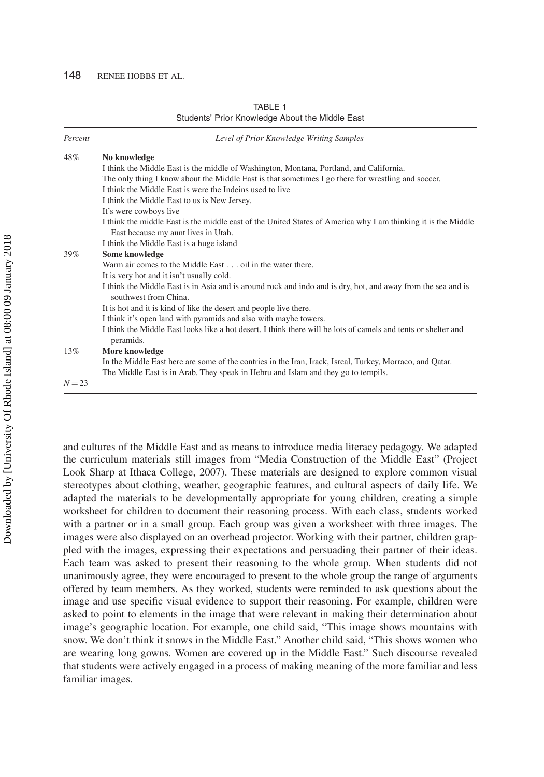| Percent  | Level of Prior Knowledge Writing Samples                                                                                              |
|----------|---------------------------------------------------------------------------------------------------------------------------------------|
| 48%      | No knowledge                                                                                                                          |
|          | I think the Middle East is the middle of Washington, Montana, Portland, and California.                                               |
|          | The only thing I know about the Middle East is that sometimes I go there for wrestling and soccer.                                    |
|          | I think the Middle East is were the Indeins used to live                                                                              |
|          | I think the Middle East to us is New Jersey.                                                                                          |
|          | It's were cowboys live                                                                                                                |
|          | I think the middle East is the middle east of the United States of America why I am thinking it is the Middle                         |
|          | East because my aunt lives in Utah.                                                                                                   |
|          | I think the Middle East is a huge island                                                                                              |
| 39%      | Some knowledge                                                                                                                        |
|          | Warm air comes to the Middle East oil in the water there.                                                                             |
|          | It is very hot and it isn't usually cold.                                                                                             |
|          | I think the Middle East is in Asia and is around rock and indo and is dry, hot, and away from the sea and is<br>southwest from China. |
|          | It is hot and it is kind of like the desert and people live there.                                                                    |
|          | I think it's open land with pyramids and also with maybe towers.                                                                      |
|          | I think the Middle East looks like a hot desert. I think there will be lots of camels and tents or shelter and<br>peramids.           |
| 13%      | More knowledge                                                                                                                        |
|          | In the Middle East here are some of the contries in the Iran, Irack, Isreal, Turkey, Morraco, and Qatar.                              |
|          | The Middle East is in Arab. They speak in Hebru and Islam and they go to tempils.                                                     |
| $N = 23$ |                                                                                                                                       |

TABLE 1 Students' Prior Knowledge About the Middle East

and cultures of the Middle East and as means to introduce media literacy pedagogy. We adapted the curriculum materials still images from "Media Construction of the Middle East" (Project Look Sharp at Ithaca College, 2007). These materials are designed to explore common visual stereotypes about clothing, weather, geographic features, and cultural aspects of daily life. We adapted the materials to be developmentally appropriate for young children, creating a simple worksheet for children to document their reasoning process. With each class, students worked with a partner or in a small group. Each group was given a worksheet with three images. The images were also displayed on an overhead projector. Working with their partner, children grappled with the images, expressing their expectations and persuading their partner of their ideas. Each team was asked to present their reasoning to the whole group. When students did not unanimously agree, they were encouraged to present to the whole group the range of arguments offered by team members. As they worked, students were reminded to ask questions about the image and use specific visual evidence to support their reasoning. For example, children were asked to point to elements in the image that were relevant in making their determination about image's geographic location. For example, one child said, "This image shows mountains with snow. We don't think it snows in the Middle East." Another child said, "This shows women who are wearing long gowns. Women are covered up in the Middle East." Such discourse revealed that students were actively engaged in a process of making meaning of the more familiar and less familiar images.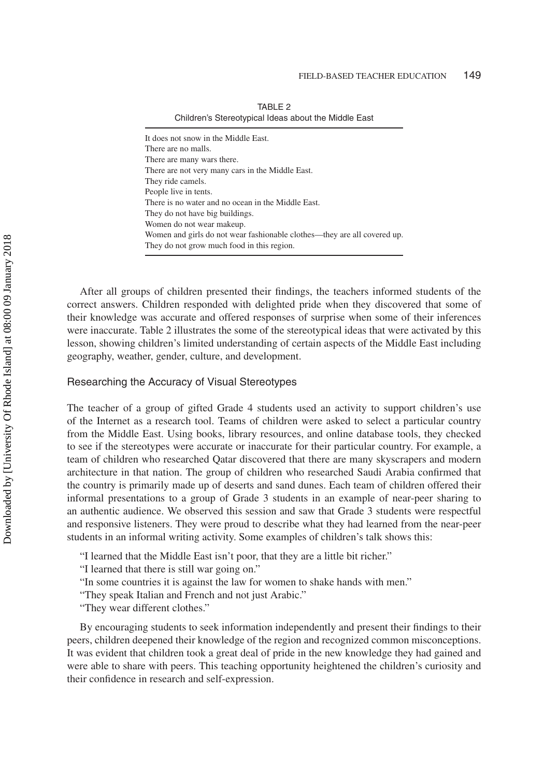TABLE 2 Children's Stereotypical Ideas about the Middle East

After all groups of children presented their findings, the teachers informed students of the correct answers. Children responded with delighted pride when they discovered that some of their knowledge was accurate and offered responses of surprise when some of their inferences were inaccurate. Table 2 illustrates the some of the stereotypical ideas that were activated by this lesson, showing children's limited understanding of certain aspects of the Middle East including geography, weather, gender, culture, and development.

## Researching the Accuracy of Visual Stereotypes

The teacher of a group of gifted Grade 4 students used an activity to support children's use of the Internet as a research tool. Teams of children were asked to select a particular country from the Middle East. Using books, library resources, and online database tools, they checked to see if the stereotypes were accurate or inaccurate for their particular country. For example, a team of children who researched Qatar discovered that there are many skyscrapers and modern architecture in that nation. The group of children who researched Saudi Arabia confirmed that the country is primarily made up of deserts and sand dunes. Each team of children offered their informal presentations to a group of Grade 3 students in an example of near-peer sharing to an authentic audience. We observed this session and saw that Grade 3 students were respectful and responsive listeners. They were proud to describe what they had learned from the near-peer students in an informal writing activity. Some examples of children's talk shows this:

- "I learned that the Middle East isn't poor, that they are a little bit richer."
- "I learned that there is still war going on."
- "In some countries it is against the law for women to shake hands with men."
- "They speak Italian and French and not just Arabic."
- "They wear different clothes."

By encouraging students to seek information independently and present their findings to their peers, children deepened their knowledge of the region and recognized common misconceptions. It was evident that children took a great deal of pride in the new knowledge they had gained and were able to share with peers. This teaching opportunity heightened the children's curiosity and their confidence in research and self-expression.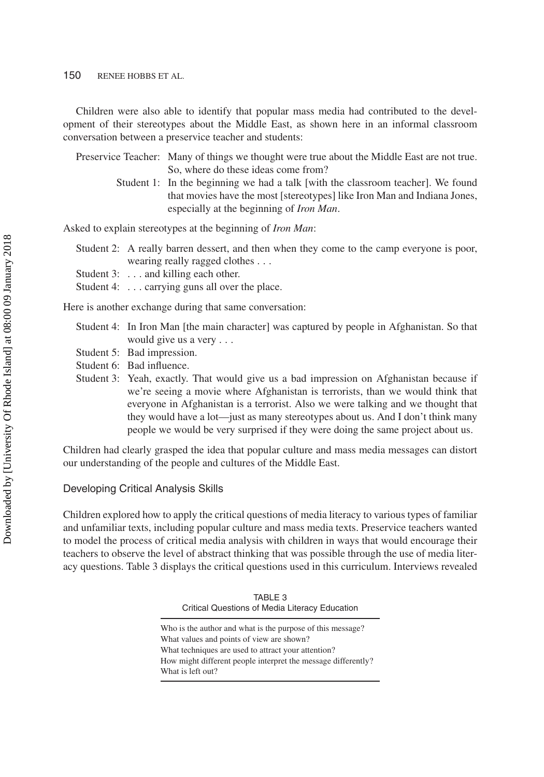Children were also able to identify that popular mass media had contributed to the development of their stereotypes about the Middle East, as shown here in an informal classroom conversation between a preservice teacher and students:

Preservice Teacher: Many of things we thought were true about the Middle East are not true. So, where do these ideas come from?

Student 1: In the beginning we had a talk [with the classroom teacher]. We found that movies have the most [stereotypes] like Iron Man and Indiana Jones, especially at the beginning of *Iron Man*.

Asked to explain stereotypes at the beginning of *Iron Man*:

- Student 2: A really barren dessert, and then when they come to the camp everyone is poor, wearing really ragged clothes *...*
- Student 3: *...* and killing each other.
- Student 4: *...* carrying guns all over the place.

Here is another exchange during that same conversation:

- Student 4: In Iron Man [the main character] was captured by people in Afghanistan. So that would give us a very *...*
- Student 5: Bad impression.
- Student 6: Bad influence.
- Student 3: Yeah, exactly. That would give us a bad impression on Afghanistan because if we're seeing a movie where Afghanistan is terrorists, than we would think that everyone in Afghanistan is a terrorist. Also we were talking and we thought that they would have a lot—just as many stereotypes about us. And I don't think many people we would be very surprised if they were doing the same project about us.

Children had clearly grasped the idea that popular culture and mass media messages can distort our understanding of the people and cultures of the Middle East.

#### Developing Critical Analysis Skills

Children explored how to apply the critical questions of media literacy to various types of familiar and unfamiliar texts, including popular culture and mass media texts. Preservice teachers wanted to model the process of critical media analysis with children in ways that would encourage their teachers to observe the level of abstract thinking that was possible through the use of media literacy questions. Table 3 displays the critical questions used in this curriculum. Interviews revealed

> TABLE 3 Critical Questions of Media Literacy Education

Who is the author and what is the purpose of this message? What values and points of view are shown? What techniques are used to attract your attention? How might different people interpret the message differently? What is left out?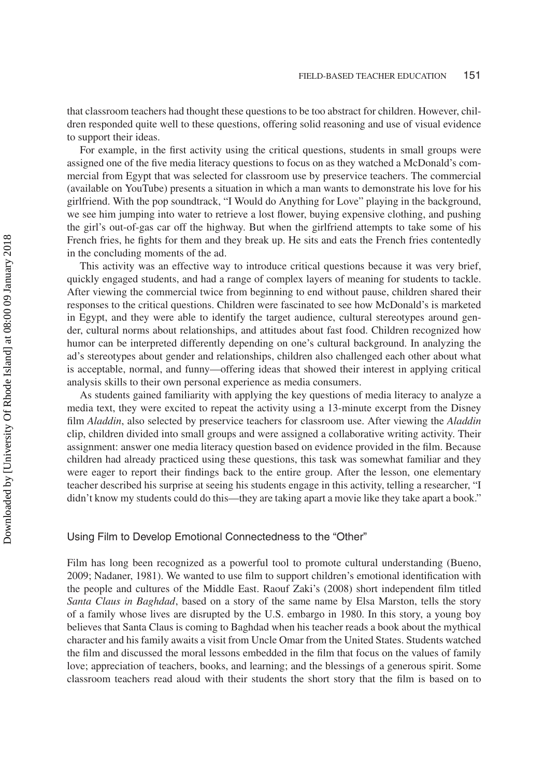that classroom teachers had thought these questions to be too abstract for children. However, children responded quite well to these questions, offering solid reasoning and use of visual evidence to support their ideas.

For example, in the first activity using the critical questions, students in small groups were assigned one of the five media literacy questions to focus on as they watched a McDonald's commercial from Egypt that was selected for classroom use by preservice teachers. The commercial (available on YouTube) presents a situation in which a man wants to demonstrate his love for his girlfriend. With the pop soundtrack, "I Would do Anything for Love" playing in the background, we see him jumping into water to retrieve a lost flower, buying expensive clothing, and pushing the girl's out-of-gas car off the highway. But when the girlfriend attempts to take some of his French fries, he fights for them and they break up. He sits and eats the French fries contentedly in the concluding moments of the ad.

This activity was an effective way to introduce critical questions because it was very brief, quickly engaged students, and had a range of complex layers of meaning for students to tackle. After viewing the commercial twice from beginning to end without pause, children shared their responses to the critical questions. Children were fascinated to see how McDonald's is marketed in Egypt, and they were able to identify the target audience, cultural stereotypes around gender, cultural norms about relationships, and attitudes about fast food. Children recognized how humor can be interpreted differently depending on one's cultural background. In analyzing the ad's stereotypes about gender and relationships, children also challenged each other about what is acceptable, normal, and funny—offering ideas that showed their interest in applying critical analysis skills to their own personal experience as media consumers.

As students gained familiarity with applying the key questions of media literacy to analyze a media text, they were excited to repeat the activity using a 13-minute excerpt from the Disney film *Aladdin*, also selected by preservice teachers for classroom use. After viewing the *Aladdin* clip, children divided into small groups and were assigned a collaborative writing activity. Their assignment: answer one media literacy question based on evidence provided in the film. Because children had already practiced using these questions, this task was somewhat familiar and they were eager to report their findings back to the entire group. After the lesson, one elementary teacher described his surprise at seeing his students engage in this activity, telling a researcher, "I didn't know my students could do this—they are taking apart a movie like they take apart a book."

#### Using Film to Develop Emotional Connectedness to the "Other"

Film has long been recognized as a powerful tool to promote cultural understanding (Bueno, 2009; Nadaner, 1981). We wanted to use film to support children's emotional identification with the people and cultures of the Middle East. Raouf Zaki's (2008) short independent film titled *Santa Claus in Baghdad*, based on a story of the same name by Elsa Marston, tells the story of a family whose lives are disrupted by the U.S. embargo in 1980. In this story, a young boy believes that Santa Claus is coming to Baghdad when his teacher reads a book about the mythical character and his family awaits a visit from Uncle Omar from the United States. Students watched the film and discussed the moral lessons embedded in the film that focus on the values of family love; appreciation of teachers, books, and learning; and the blessings of a generous spirit. Some classroom teachers read aloud with their students the short story that the film is based on to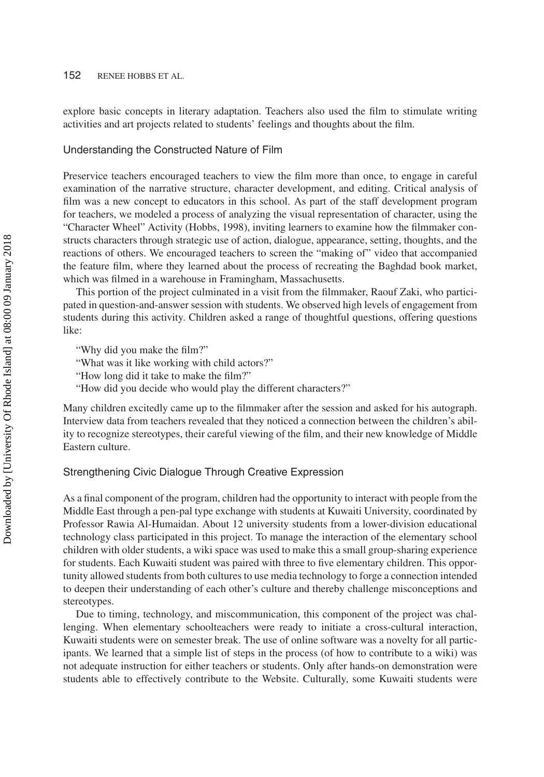explore basic concepts in literary adaptation. Teachers also used the film to stimulate writing activities and art projects related to students' feelings and thoughts about the film.

#### Understanding the Constructed Nature of Film

Preservice teachers encouraged teachers to view the film more than once, to engage in careful examination of the narrative structure, character development, and editing. Critical analysis of film was a new concept to educators in this school. As part of the staff development program for teachers, we modeled a process of analyzing the visual representation of character, using the "Character Wheel" Activity (Hobbs, 1998), inviting learners to examine how the filmmaker constructs characters through strategic use of action, dialogue, appearance, setting, thoughts, and the reactions of others. We encouraged teachers to screen the "making of" video that accompanied the feature film, where they learned about the process of recreating the Baghdad book market, which was filmed in a warehouse in Framingham, Massachusetts.

This portion of the project culminated in a visit from the filmmaker, Raouf Zaki, who participated in question-and-answer session with students. We observed high levels of engagement from students during this activity. Children asked a range of thoughtful questions, offering questions like:

"Why did you make the film?"

"What was it like working with child actors?"

"How long did it take to make the film?"

"How did you decide who would play the different characters?"

Many children excitedly came up to the filmmaker after the session and asked for his autograph. Interview data from teachers revealed that they noticed a connection between the children's ability to recognize stereotypes, their careful viewing of the film, and their new knowledge of Middle Eastern culture.

## Strengthening Civic Dialogue Through Creative Expression

As a final component of the program, children had the opportunity to interact with people from the Middle East through a pen-pal type exchange with students at Kuwaiti University, coordinated by Professor Rawia Al-Humaidan. About 12 university students from a lower-division educational technology class participated in this project. To manage the interaction of the elementary school children with older students, a wiki space was used to make this a small group-sharing experience for students. Each Kuwaiti student was paired with three to five elementary children. This opportunity allowed students from both cultures to use media technology to forge a connection intended to deepen their understanding of each other's culture and thereby challenge misconceptions and stereotypes.

Due to timing, technology, and miscommunication, this component of the project was challenging. When elementary schoolteachers were ready to initiate a cross-cultural interaction, Kuwaiti students were on semester break. The use of online software was a novelty for all participants. We learned that a simple list of steps in the process (of how to contribute to a wiki) was not adequate instruction for either teachers or students. Only after hands-on demonstration were students able to effectively contribute to the Website. Culturally, some Kuwaiti students were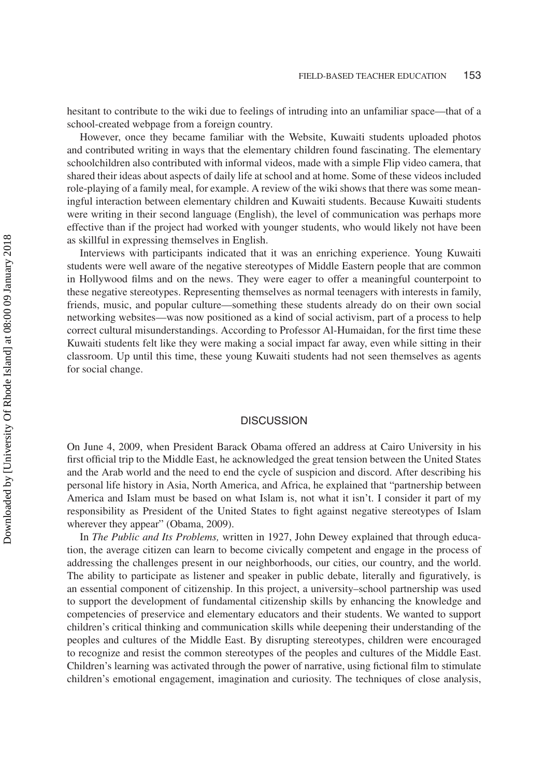hesitant to contribute to the wiki due to feelings of intruding into an unfamiliar space—that of a school-created webpage from a foreign country.

However, once they became familiar with the Website, Kuwaiti students uploaded photos and contributed writing in ways that the elementary children found fascinating. The elementary schoolchildren also contributed with informal videos, made with a simple Flip video camera, that shared their ideas about aspects of daily life at school and at home. Some of these videos included role-playing of a family meal, for example. A review of the wiki shows that there was some meaningful interaction between elementary children and Kuwaiti students. Because Kuwaiti students were writing in their second language (English), the level of communication was perhaps more effective than if the project had worked with younger students, who would likely not have been as skillful in expressing themselves in English.

Interviews with participants indicated that it was an enriching experience. Young Kuwaiti students were well aware of the negative stereotypes of Middle Eastern people that are common in Hollywood films and on the news. They were eager to offer a meaningful counterpoint to these negative stereotypes. Representing themselves as normal teenagers with interests in family, friends, music, and popular culture—something these students already do on their own social networking websites—was now positioned as a kind of social activism, part of a process to help correct cultural misunderstandings. According to Professor Al-Humaidan, for the first time these Kuwaiti students felt like they were making a social impact far away, even while sitting in their classroom. Up until this time, these young Kuwaiti students had not seen themselves as agents for social change.

# **DISCUSSION**

On June 4, 2009, when President Barack Obama offered an address at Cairo University in his first official trip to the Middle East, he acknowledged the great tension between the United States and the Arab world and the need to end the cycle of suspicion and discord. After describing his personal life history in Asia, North America, and Africa, he explained that "partnership between America and Islam must be based on what Islam is, not what it isn't. I consider it part of my responsibility as President of the United States to fight against negative stereotypes of Islam wherever they appear" (Obama, 2009).

In *The Public and Its Problems,* written in 1927, John Dewey explained that through education, the average citizen can learn to become civically competent and engage in the process of addressing the challenges present in our neighborhoods, our cities, our country, and the world. The ability to participate as listener and speaker in public debate, literally and figuratively, is an essential component of citizenship. In this project, a university–school partnership was used to support the development of fundamental citizenship skills by enhancing the knowledge and competencies of preservice and elementary educators and their students. We wanted to support children's critical thinking and communication skills while deepening their understanding of the peoples and cultures of the Middle East. By disrupting stereotypes, children were encouraged to recognize and resist the common stereotypes of the peoples and cultures of the Middle East. Children's learning was activated through the power of narrative, using fictional film to stimulate children's emotional engagement, imagination and curiosity. The techniques of close analysis,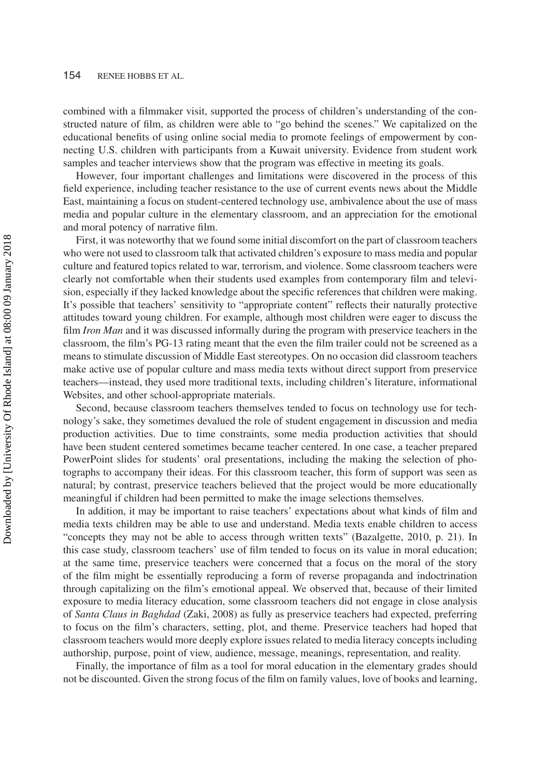combined with a filmmaker visit, supported the process of children's understanding of the constructed nature of film, as children were able to "go behind the scenes." We capitalized on the educational benefits of using online social media to promote feelings of empowerment by connecting U.S. children with participants from a Kuwait university. Evidence from student work samples and teacher interviews show that the program was effective in meeting its goals.

However, four important challenges and limitations were discovered in the process of this field experience, including teacher resistance to the use of current events news about the Middle East, maintaining a focus on student-centered technology use, ambivalence about the use of mass media and popular culture in the elementary classroom, and an appreciation for the emotional and moral potency of narrative film.

First, it was noteworthy that we found some initial discomfort on the part of classroom teachers who were not used to classroom talk that activated children's exposure to mass media and popular culture and featured topics related to war, terrorism, and violence. Some classroom teachers were clearly not comfortable when their students used examples from contemporary film and television, especially if they lacked knowledge about the specific references that children were making. It's possible that teachers' sensitivity to "appropriate content" reflects their naturally protective attitudes toward young children. For example, although most children were eager to discuss the film *Iron Man* and it was discussed informally during the program with preservice teachers in the classroom, the film's PG-13 rating meant that the even the film trailer could not be screened as a means to stimulate discussion of Middle East stereotypes. On no occasion did classroom teachers make active use of popular culture and mass media texts without direct support from preservice teachers—instead, they used more traditional texts, including children's literature, informational Websites, and other school-appropriate materials.

Second, because classroom teachers themselves tended to focus on technology use for technology's sake, they sometimes devalued the role of student engagement in discussion and media production activities. Due to time constraints, some media production activities that should have been student centered sometimes became teacher centered. In one case, a teacher prepared PowerPoint slides for students' oral presentations, including the making the selection of photographs to accompany their ideas. For this classroom teacher, this form of support was seen as natural; by contrast, preservice teachers believed that the project would be more educationally meaningful if children had been permitted to make the image selections themselves.

In addition, it may be important to raise teachers' expectations about what kinds of film and media texts children may be able to use and understand. Media texts enable children to access "concepts they may not be able to access through written texts" (Bazalgette, 2010, p. 21). In this case study, classroom teachers' use of film tended to focus on its value in moral education; at the same time, preservice teachers were concerned that a focus on the moral of the story of the film might be essentially reproducing a form of reverse propaganda and indoctrination through capitalizing on the film's emotional appeal. We observed that, because of their limited exposure to media literacy education, some classroom teachers did not engage in close analysis of *Santa Claus in Baghdad* (Zaki, 2008) as fully as preservice teachers had expected, preferring to focus on the film's characters, setting, plot, and theme. Preservice teachers had hoped that classroom teachers would more deeply explore issues related to media literacy concepts including authorship, purpose, point of view, audience, message, meanings, representation, and reality.

Finally, the importance of film as a tool for moral education in the elementary grades should not be discounted. Given the strong focus of the film on family values, love of books and learning,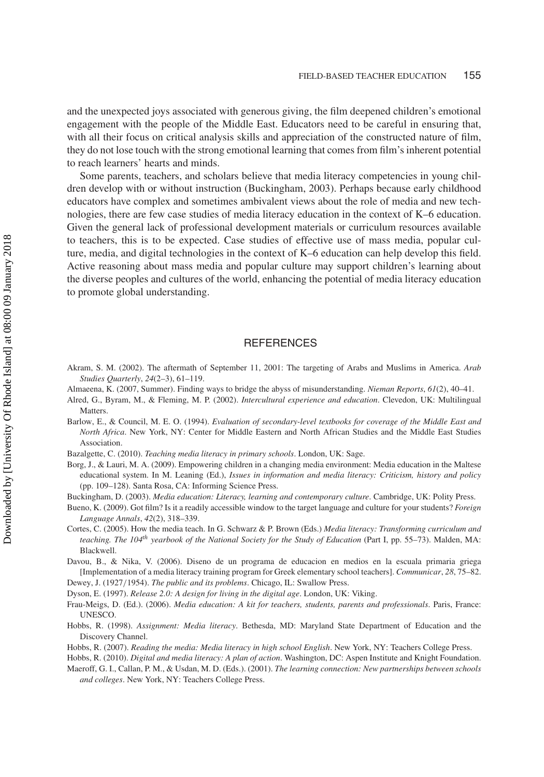and the unexpected joys associated with generous giving, the film deepened children's emotional engagement with the people of the Middle East. Educators need to be careful in ensuring that, with all their focus on critical analysis skills and appreciation of the constructed nature of film, they do not lose touch with the strong emotional learning that comes from film's inherent potential to reach learners' hearts and minds.

Some parents, teachers, and scholars believe that media literacy competencies in young children develop with or without instruction (Buckingham, 2003). Perhaps because early childhood educators have complex and sometimes ambivalent views about the role of media and new technologies, there are few case studies of media literacy education in the context of K–6 education. Given the general lack of professional development materials or curriculum resources available to teachers, this is to be expected. Case studies of effective use of mass media, popular culture, media, and digital technologies in the context of K–6 education can help develop this field. Active reasoning about mass media and popular culture may support children's learning about the diverse peoples and cultures of the world, enhancing the potential of media literacy education to promote global understanding.

#### **REFERENCES**

- Akram, S. M. (2002). The aftermath of September 11, 2001: The targeting of Arabs and Muslims in America. *Arab Studies Quarterly*, *24*(2–3), 61–119.
- Almaeena, K. (2007, Summer). Finding ways to bridge the abyss of misunderstanding. *Nieman Reports*, *61*(2), 40–41.
- Alred, G., Byram, M., & Fleming, M. P. (2002). *Intercultural experience and education*. Clevedon, UK: Multilingual Matters.
- Barlow, E., & Council, M. E. O. (1994). *Evaluation of secondary-level textbooks for coverage of the Middle East and North Africa*. New York, NY: Center for Middle Eastern and North African Studies and the Middle East Studies Association.

Bazalgette, C. (2010). *Teaching media literacy in primary schools*. London, UK: Sage.

- Borg, J., & Lauri, M. A. (2009). Empowering children in a changing media environment: Media education in the Maltese educational system. In M. Leaning (Ed.), *Issues in information and media literacy: Criticism, history and policy* (pp. 109–128). Santa Rosa, CA: Informing Science Press.
- Buckingham, D. (2003). *Media education: Literacy, learning and contemporary culture*. Cambridge, UK: Polity Press.
- Bueno, K. (2009). Got film? Is it a readily accessible window to the target language and culture for your students? *Foreign Language Annals*, *42*(2), 318–339.
- Cortes, C. (2005). How the media teach. In G. Schwarz & P. Brown (Eds.) *Media literacy: Transforming curriculum and teaching. The 104th yearbook of the National Society for the Study of Education* (Part I, pp. 55–73). Malden, MA: Blackwell.
- Davou, B., & Nika, V. (2006). Diseno de un programa de educacion en medios en la escuala primaria griega [Implementation of a media literacy training program for Greek elementary school teachers]. *Communicar*, *28*, 75–82. Dewey, J. (1927*/*1954). *The public and its problems*. Chicago, IL: Swallow Press.

Dyson, E. (1997). *Release 2.0: A design for living in the digital age*. London, UK: Viking.

- Frau-Meigs, D. (Ed.). (2006). *Media education: A kit for teachers, students, parents and professionals*. Paris, France: **UNESCO.**
- Hobbs, R. (1998). *Assignment: Media literacy*. Bethesda, MD: Maryland State Department of Education and the Discovery Channel.

Hobbs, R. (2007). *Reading the media: Media literacy in high school English*. New York, NY: Teachers College Press.

Hobbs, R. (2010). *Digital and media literacy: A plan of action*. Washington, DC: Aspen Institute and Knight Foundation.

Maeroff, G. I., Callan, P. M., & Usdan, M. D. (Eds.). (2001). *The learning connection: New partnerships between schools and colleges*. New York, NY: Teachers College Press.